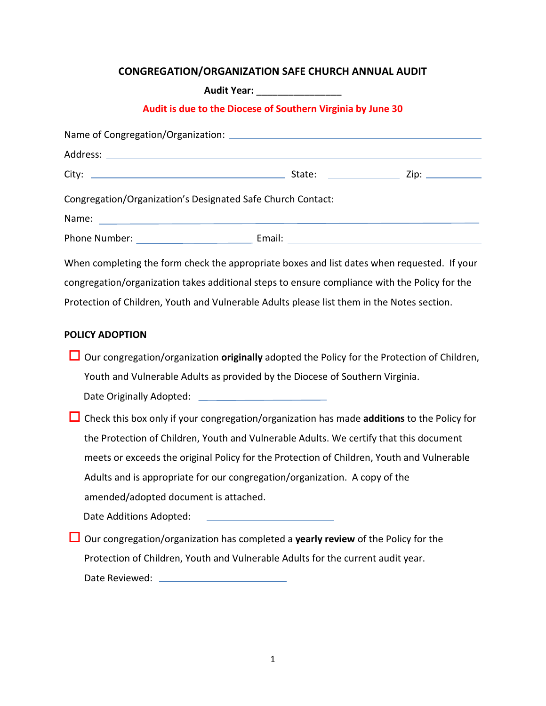# **CONGREGATION/ORGANIZATION SAFE CHURCH ANNUAL AUDIT**

**Audit Year:** \_\_\_\_\_\_\_\_\_\_\_\_\_\_\_\_

## **Audit is due to the Diocese of Southern Virginia by June 30**

| Address: Address: Address: Address: Address: Address: Address: Address: Address: Address: Address: A |                                                                                                                       |  |
|------------------------------------------------------------------------------------------------------|-----------------------------------------------------------------------------------------------------------------------|--|
| City:                                                                                                |                                                                                                                       |  |
|                                                                                                      | Congregation/Organization's Designated Safe Church Contact:                                                           |  |
| Name:                                                                                                | <u> 1989 - Johann Stein, marwolaethau a bhann an t-Amhainn an t-Amhainn an t-Amhainn an t-Amhainn an t-Amhainn an</u> |  |
|                                                                                                      |                                                                                                                       |  |
|                                                                                                      | When completing the form check the appropriate boxes and list dates when requested. If your                           |  |
| congregation/organization takes additional steps to ensure compliance with the Policy for the        |                                                                                                                       |  |
|                                                                                                      | Protection of Children, Youth and Vulnerable Adults please list them in the Notes section.                            |  |
|                                                                                                      | <b>POLICY ADOPTION</b>                                                                                                |  |
|                                                                                                      | $\Box$ Our congregation/organization originally adopted the Policy for the Protection of Children,                    |  |
|                                                                                                      | Youth and Vulnerable Adults as provided by the Diocese of Southern Virginia.                                          |  |
|                                                                                                      |                                                                                                                       |  |
|                                                                                                      | $\Box$ Check this box only if your congregation/organization has made <b>additions</b> to the Policy for              |  |
|                                                                                                      | the Protection of Children, Youth and Vulnerable Adults. We certify that this document                                |  |
|                                                                                                      | meets or exceeds the original Policy for the Protection of Children, Youth and Vulnerable                             |  |
|                                                                                                      | Adults and is appropriate for our congregation/organization. A copy of the                                            |  |
|                                                                                                      | amended/adopted document is attached.                                                                                 |  |
|                                                                                                      | Date Additions Adopted:<br>the control of the control of the control of the control of                                |  |
| Our congregation/organization has completed a yearly review of the Policy for the                    |                                                                                                                       |  |
|                                                                                                      | Protection of Children, Youth and Vulnerable Adults for the current audit year.                                       |  |
|                                                                                                      | Date Reviewed:                                                                                                        |  |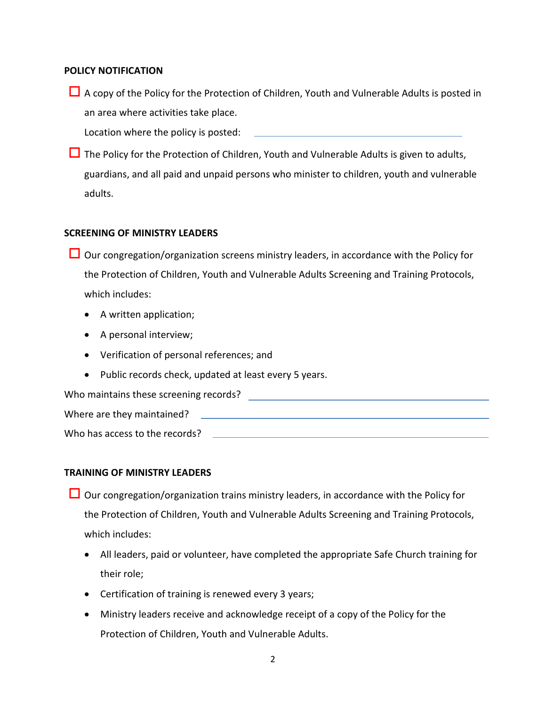#### **POLICY NOTIFICATION**

 $\Box$  A copy of the Policy for the Protection of Children, Youth and Vulnerable Adults is posted in an area where activities take place.

Location where the policy is posted:

 $\Box$  The Policy for the Protection of Children, Youth and Vulnerable Adults is given to adults, guardians, and all paid and unpaid persons who minister to children, youth and vulnerable adults.

#### **SCREENING OF MINISTRY LEADERS**

- $\Box$  Our congregation/organization screens ministry leaders, in accordance with the Policy for the Protection of Children, Youth and Vulnerable Adults Screening and Training Protocols, which includes:
	- A written application;
	- A personal interview;
	- Verification of personal references; and
	- Public records check, updated at least every 5 years.

| Who maintains these screening records? |  |
|----------------------------------------|--|
| Where are they maintained?             |  |
| Who has access to the records?         |  |

#### **TRAINING OF MINISTRY LEADERS**

- $\Box$  Our congregation/organization trains ministry leaders, in accordance with the Policy for the Protection of Children, Youth and Vulnerable Adults Screening and Training Protocols, which includes:
	- All leaders, paid or volunteer, have completed the appropriate Safe Church training for their role;
	- Certification of training is renewed every 3 years;
	- Ministry leaders receive and acknowledge receipt of a copy of the Policy for the Protection of Children, Youth and Vulnerable Adults.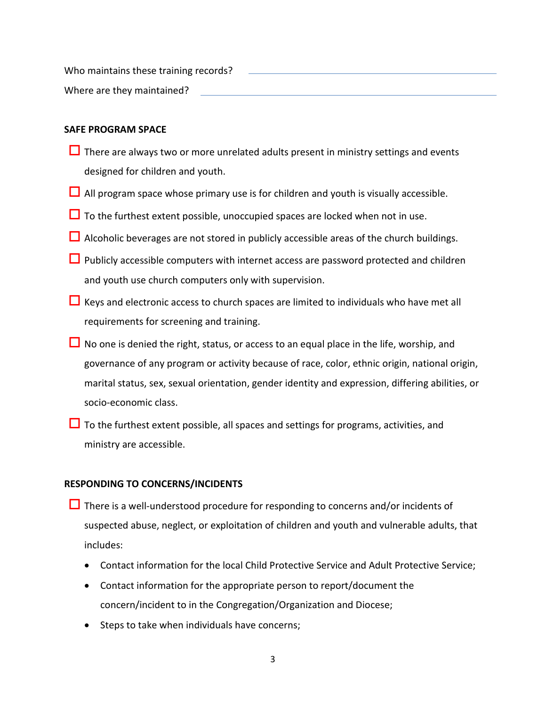Who maintains these training records?

Where are they maintained?

## **SAFE PROGRAM SPACE**

- $\Box$  There are always two or more unrelated adults present in ministry settings and events designed for children and youth.
- $\Box$  All program space whose primary use is for children and youth is visually accessible.
- $\Box$  To the furthest extent possible, unoccupied spaces are locked when not in use.
- $\Box$  Alcoholic beverages are not stored in publicly accessible areas of the church buildings.
- $\Box$  Publicly accessible computers with internet access are password protected and children and youth use church computers only with supervision.
- $\Box$  Keys and electronic access to church spaces are limited to individuals who have met all requirements for screening and training.
- $\Box$  No one is denied the right, status, or access to an equal place in the life, worship, and governance of any program or activity because of race, color, ethnic origin, national origin, marital status, sex, sexual orientation, gender identity and expression, differing abilities, or socio-economic class.
- $\Box$  To the furthest extent possible, all spaces and settings for programs, activities, and ministry are accessible.

### **RESPONDING TO CONCERNS/INCIDENTS**

- There is a well-understood procedure for responding to concerns and/or incidents of suspected abuse, neglect, or exploitation of children and youth and vulnerable adults, that includes:
	- Contact information for the local Child Protective Service and Adult Protective Service;
	- Contact information for the appropriate person to report/document the concern/incident to in the Congregation/Organization and Diocese;
	- Steps to take when individuals have concerns;